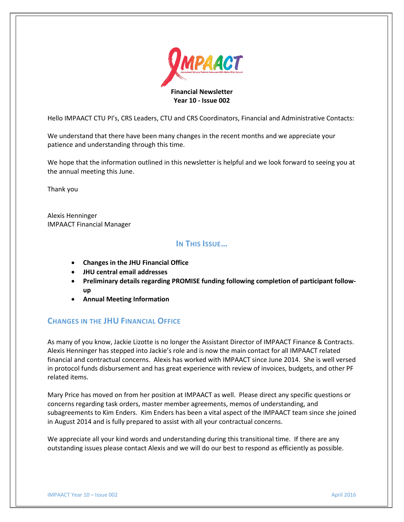

Hello IMPAACT CTU PI's, CRS Leaders, CTU and CRS Coordinators, Financial and Administrative Contacts:

We understand that there have been many changes in the recent months and we appreciate your patience and understanding through this time.

We hope that the information outlined in this newsletter is helpful and we look forward to seeing you at the annual meeting this June.

Thank you

Alexis Henninger IMPAACT Financial Manager

## **IN THIS ISSUE…**

- **Changes in the JHU Financial Office**
- **JHU central email addresses**
- **Preliminary details regarding PROMISE funding following completion of participant followup**
- **Annual Meeting Information**

### **CHANGES IN THE JHU FINANCIAL OFFICE**

As many of you know, Jackie Lizotte is no longer the Assistant Director of IMPAACT Finance & Contracts. Alexis Henninger has stepped into Jackie's role and is now the main contact for all IMPAACT related financial and contractual concerns. Alexis has worked with IMPAACT since June 2014. She is well versed in protocol funds disbursement and has great experience with review of invoices, budgets, and other PF related items.

Mary Price has moved on from her position at IMPAACT as well. Please direct any specific questions or concerns regarding task orders, master member agreements, memos of understanding, and subagreements to Kim Enders. Kim Enders has been a vital aspect of the IMPAACT team since she joined in August 2014 and is fully prepared to assist with all your contractual concerns.

We appreciate all your kind words and understanding during this transitional time. If there are any outstanding issues please contact Alexis and we will do our best to respond as efficiently as possible.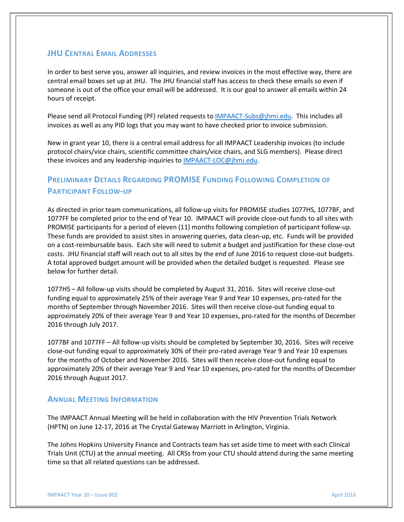### **JHU CENTRAL EMAIL ADDRESSES**

In order to best serve you, answer all inquiries, and review invoices in the most effective way, there are central email boxes set up at JHU. The JHU financial staff has access to check these emails so even if someone is out of the office your email will be addressed. It is our goal to answer all emails within 24 hours of receipt.

Please send all Protocol Funding (PF) related requests to [IMPAACT-Subs@jhmi.edu.](mailto:IMPAACT-Subs@jhmi.edu) This includes all invoices as well as any PID logs that you may want to have checked prior to invoice submission.

New in grant year 10, there is a central email address for all IMPAACT Leadership invoices (to include protocol chairs/vice chairs, scientific committee chairs/vice chairs, and SLG members). Please direct these invoices and any leadership inquiries t[o IMPAACT-LOC@jhmi.edu.](mailto:IMPAACT-LOC@jhmi.edu)

# **PRELIMINARY DETAILS REGARDING PROMISE FUNDING FOLLOWING COMPLETION OF PARTICIPANT FOLLOW-UP**

As directed in prior team communications, all follow-up visits for PROMISE studies 1077HS, 1077BF, and 1077FF be completed prior to the end of Year 10. IMPAACT will provide close-out funds to all sites with PROMISE participants for a period of eleven (11) months following completion of participant follow-up. These funds are provided to assist sites in answering queries, data clean-up, etc. Funds will be provided on a cost-reimbursable basis. Each site will need to submit a budget and justification for these close-out costs. JHU financial staff will reach out to all sites by the end of June 2016 to request close-out budgets. A total approved budget amount will be provided when the detailed budget is requested. Please see below for further detail.

1077HS – All follow-up visits should be completed by August 31, 2016. Sites will receive close-out funding equal to approximately 25% of their average Year 9 and Year 10 expenses, pro-rated for the months of September through November 2016. Sites will then receive close-out funding equal to approximately 20% of their average Year 9 and Year 10 expenses, pro-rated for the months of December 2016 through July 2017.

1077BF and 1077FF – All follow-up visits should be completed by September 30, 2016. Sites will receive close-out funding equal to approximately 30% of their pro-rated average Year 9 and Year 10 expenses for the months of October and November 2016. Sites will then receive close-out funding equal to approximately 20% of their average Year 9 and Year 10 expenses, pro-rated for the months of December 2016 through August 2017.

### **ANNUAL MEETING INFORMATION**

The IMPAACT Annual Meeting will be held in collaboration with the HIV Prevention Trials Network (HPTN) on June 12-17, 2016 at The Crystal Gateway Marriott in Arlington, Virginia.

The Johns Hopkins University Finance and Contracts team has set aside time to meet with each Clinical Trials Unit (CTU) at the annual meeting. All CRSs from your CTU should attend during the same meeting time so that all related questions can be addressed.